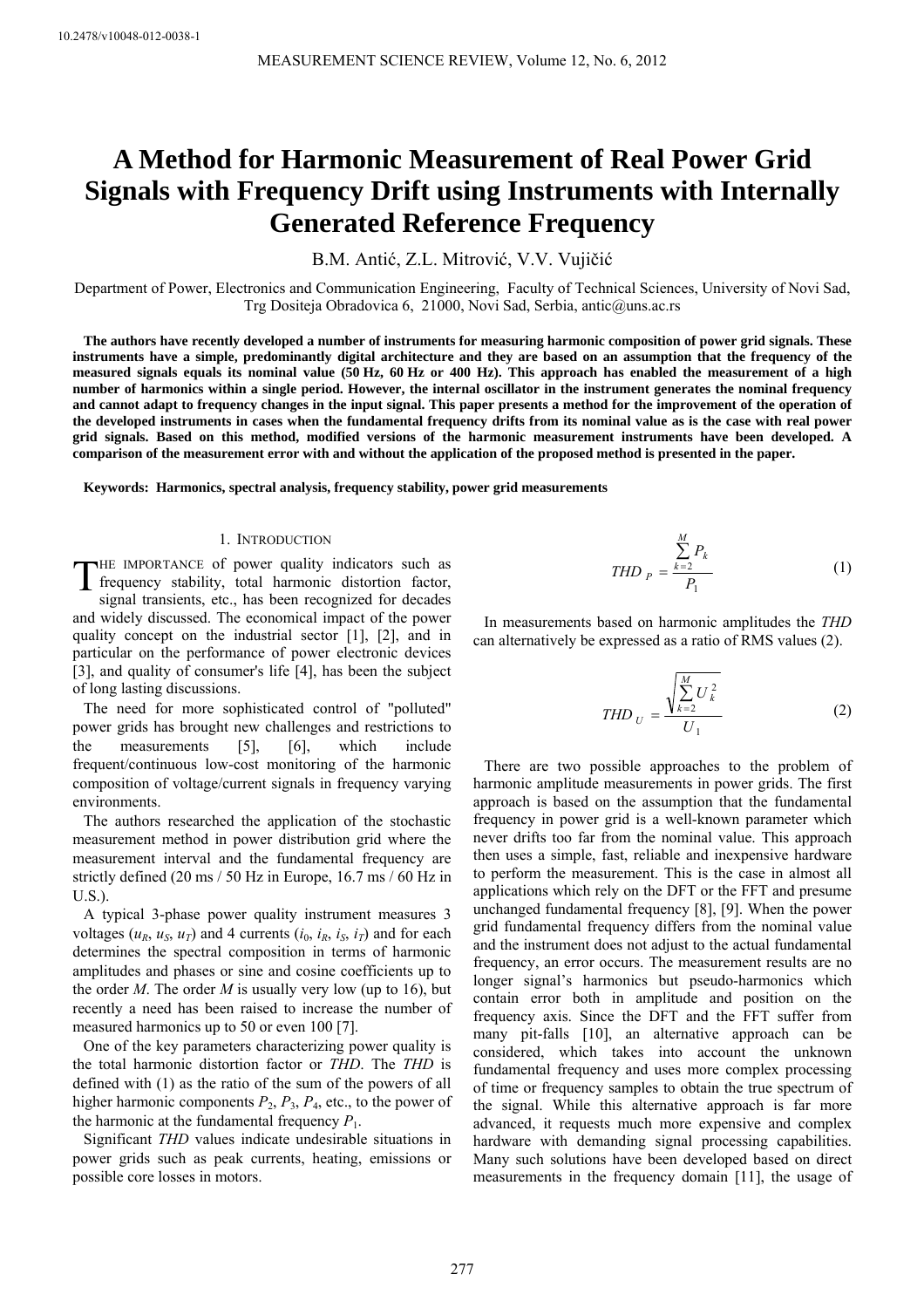# **A Method for Harmonic Measurement of Real Power Grid Signals with Frequency Drift using Instruments with Internally Generated Reference Frequency**

B.M. Antić, Z.L. Mitrović, V.V. Vujičić

Department of Power, Electronics and Communication Engineering, Faculty of Technical Sciences, University of Novi Sad, Trg Dositeja Obradovica 6, 21000, Novi Sad, Serbia, antic@uns.ac.rs

**The authors have recently developed a number of instruments for measuring harmonic composition of power grid signals. These instruments have a simple, predominantly digital architecture and they are based on an assumption that the frequency of the measured signals equals its nominal value (50 Hz, 60 Hz or 400 Hz). This approach has enabled the measurement of a high number of harmonics within a single period. However, the internal oscillator in the instrument generates the nominal frequency and cannot adapt to frequency changes in the input signal. This paper presents a method for the improvement of the operation of the developed instruments in cases when the fundamental frequency drifts from its nominal value as is the case with real power grid signals. Based on this method, modified versions of the harmonic measurement instruments have been developed. A comparison of the measurement error with and without the application of the proposed method is presented in the paper.** 

**Keywords: Harmonics, spectral analysis, frequency stability, power grid measurements** 

## 1. INTRODUCTION

HE IMPORTANCE of power quality indicators such as THE IMPORTANCE of power quality indicators such as<br>frequency stability, total harmonic distortion factor,<br>eigenal transients at a base have recognized for decodes signal transients, etc., has been recognized for decades and widely discussed. The economical impact of the power quality concept on the industrial sector [1], [2], and in particular on the performance of power electronic devices [3], and quality of consumer's life [4], has been the subject of long lasting discussions.

The need for more sophisticated control of "polluted" power grids has brought new challenges and restrictions to the measurements [5], [6], which include frequent/continuous low-cost monitoring of the harmonic composition of voltage/current signals in frequency varying environments.

The authors researched the application of the stochastic measurement method in power distribution grid where the measurement interval and the fundamental frequency are strictly defined (20 ms / 50 Hz in Europe, 16.7 ms / 60 Hz in U.S.).

A typical 3-phase power quality instrument measures 3 voltages ( $u_R$ ,  $u_S$ ,  $u_T$ ) and 4 currents ( $i_0$ ,  $i_R$ ,  $i_S$ ,  $i_T$ ) and for each determines the spectral composition in terms of harmonic amplitudes and phases or sine and cosine coefficients up to the order  $M$ . The order  $M$  is usually very low (up to 16), but recently a need has been raised to increase the number of measured harmonics up to 50 or even 100 [7].

One of the key parameters characterizing power quality is the total harmonic distortion factor or *THD*. The *THD* is defined with (1) as the ratio of the sum of the powers of all higher harmonic components  $P_2$ ,  $P_3$ ,  $P_4$ , etc., to the power of the harmonic at the fundamental frequency  $P_1$ .

Significant *THD* values indicate undesirable situations in power grids such as peak currents, heating, emissions or possible core losses in motors.

$$
THD_{P} = \frac{\sum_{k=2}^{M} P_{k}}{P_{1}}
$$
 (1)

In measurements based on harmonic amplitudes the *THD* can alternatively be expressed as a ratio of RMS values (2).

*THD* 
$$
_{U} = \frac{\sqrt{\sum_{k=2}^{M} U_k^2}}{U_1}
$$
 (2)

There are two possible approaches to the problem of harmonic amplitude measurements in power grids. The first approach is based on the assumption that the fundamental frequency in power grid is a well-known parameter which never drifts too far from the nominal value. This approach then uses a simple, fast, reliable and inexpensive hardware to perform the measurement. This is the case in almost all applications which rely on the DFT or the FFT and presume unchanged fundamental frequency [8], [9]. When the power grid fundamental frequency differs from the nominal value and the instrument does not adjust to the actual fundamental frequency, an error occurs. The measurement results are no longer signal's harmonics but pseudo-harmonics which contain error both in amplitude and position on the frequency axis. Since the DFT and the FFT suffer from many pit-falls [10], an alternative approach can be considered, which takes into account the unknown fundamental frequency and uses more complex processing of time or frequency samples to obtain the true spectrum of the signal. While this alternative approach is far more advanced, it requests much more expensive and complex hardware with demanding signal processing capabilities. Many such solutions have been developed based on direct measurements in the frequency domain [11], the usage of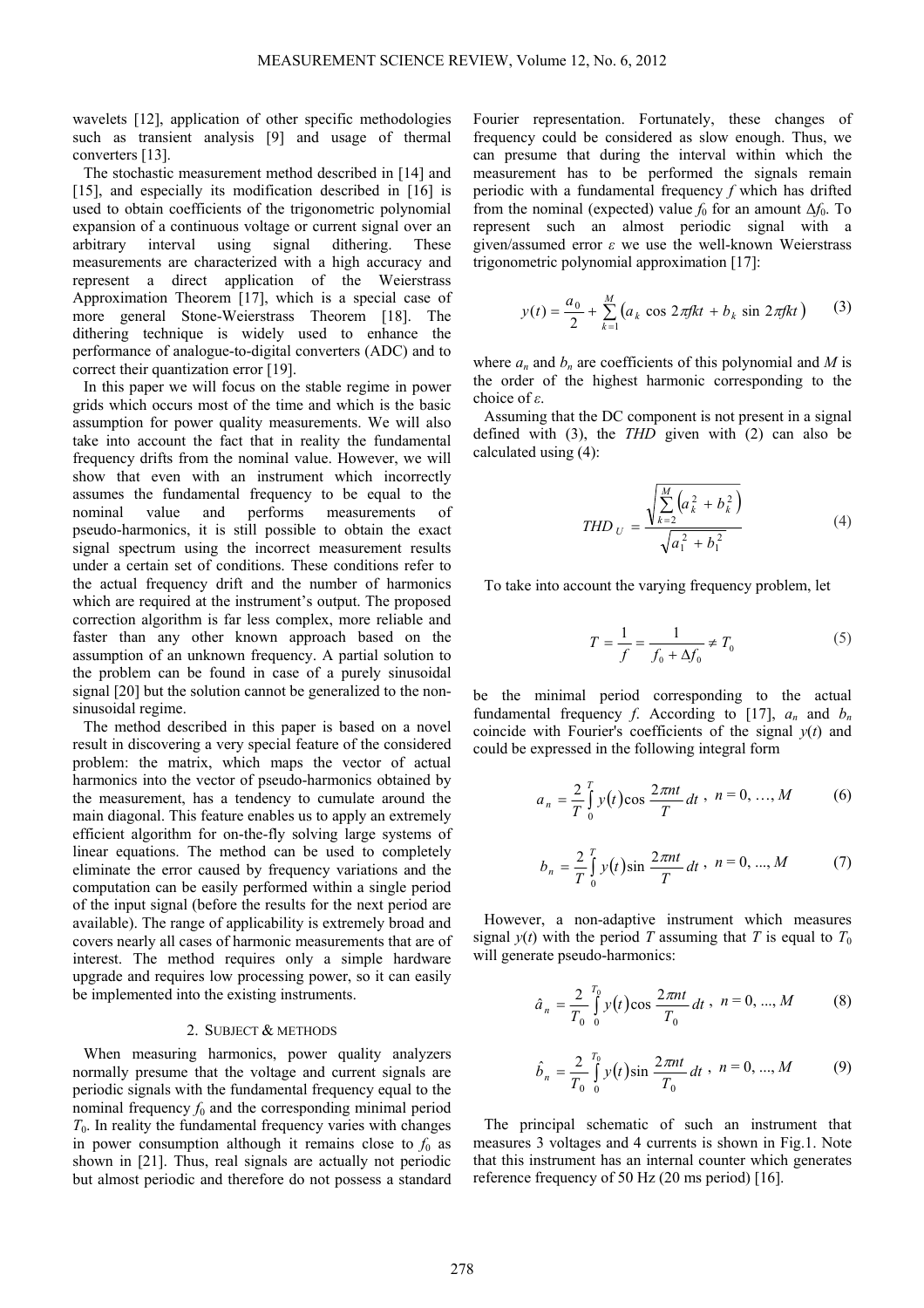wavelets [12], application of other specific methodologies such as transient analysis [9] and usage of thermal converters [13].

The stochastic measurement method described in [14] and [15], and especially its modification described in [16] is used to obtain coefficients of the trigonometric polynomial expansion of a continuous voltage or current signal over an arbitrary interval using signal dithering. These arbitrary interval using signal dithering. These measurements are characterized with a high accuracy and represent a direct application of the Weierstrass Approximation Theorem [17], which is a special case of more general Stone-Weierstrass Theorem [18]. The dithering technique is widely used to enhance the performance of analogue-to-digital converters (ADC) and to correct their quantization error [19].

In this paper we will focus on the stable regime in power grids which occurs most of the time and which is the basic assumption for power quality measurements. We will also take into account the fact that in reality the fundamental frequency drifts from the nominal value. However, we will show that even with an instrument which incorrectly assumes the fundamental frequency to be equal to the nominal value and performs measurements of pseudo-harmonics, it is still possible to obtain the exact signal spectrum using the incorrect measurement results under a certain set of conditions. These conditions refer to the actual frequency drift and the number of harmonics which are required at the instrument's output. The proposed correction algorithm is far less complex, more reliable and faster than any other known approach based on the assumption of an unknown frequency. A partial solution to the problem can be found in case of a purely sinusoidal signal [20] but the solution cannot be generalized to the nonsinusoidal regime.

The method described in this paper is based on a novel result in discovering a very special feature of the considered problem: the matrix, which maps the vector of actual harmonics into the vector of pseudo-harmonics obtained by the measurement, has a tendency to cumulate around the main diagonal. This feature enables us to apply an extremely efficient algorithm for on-the-fly solving large systems of linear equations. The method can be used to completely eliminate the error caused by frequency variations and the computation can be easily performed within a single period of the input signal (before the results for the next period are available). The range of applicability is extremely broad and covers nearly all cases of harmonic measurements that are of interest. The method requires only a simple hardware upgrade and requires low processing power, so it can easily be implemented into the existing instruments.

## 2. SUBJECT & METHODS

When measuring harmonics, power quality analyzers normally presume that the voltage and current signals are periodic signals with the fundamental frequency equal to the nominal frequency  $f_0$  and the corresponding minimal period *T*0. In reality the fundamental frequency varies with changes in power consumption although it remains close to  $f_0$  as shown in [21]. Thus, real signals are actually not periodic but almost periodic and therefore do not possess a standard

Fourier representation. Fortunately, these changes of frequency could be considered as slow enough. Thus, we can presume that during the interval within which the measurement has to be performed the signals remain periodic with a fundamental frequency *f* which has drifted from the nominal (expected) value  $f_0$  for an amount  $\Delta f_0$ . To represent such an almost periodic signal with a given/assumed error *ε* we use the well-known Weierstrass trigonometric polynomial approximation [17]:

$$
y(t) = \frac{a_0}{2} + \sum_{k=1}^{M} \left( a_k \cos 2\pi fkt + b_k \sin 2\pi fkt \right)
$$
 (3)

where  $a_n$  and  $b_n$  are coefficients of this polynomial and *M* is the order of the highest harmonic corresponding to the choice of *ε*.

Assuming that the DC component is not present in a signal defined with (3), the *THD* given with (2) can also be calculated using (4):

$$
THD_{U} = \frac{\sqrt{\sum_{k=2}^{M} (a_k^2 + b_k^2)}}{\sqrt{a_1^2 + b_1^2}}
$$
(4)

To take into account the varying frequency problem, let

$$
T = \frac{1}{f} = \frac{1}{f_0 + \Delta f_0} \neq T_0 \tag{5}
$$

be the minimal period corresponding to the actual fundamental frequency *f*. According to [17],  $a_n$  and  $b_n$ coincide with Fourier's coefficients of the signal *y*(*t*) and could be expressed in the following integral form

$$
a_n = \frac{2}{T} \int_0^T y(t) \cos \frac{2\pi nt}{T} dt, \quad n = 0, ..., M \tag{6}
$$

$$
b_n = \frac{2}{T} \int_0^T y(t) \sin \frac{2\pi nt}{T} dt, \quad n = 0, ..., M \tag{7}
$$

However, a non-adaptive instrument which measures signal  $y(t)$  with the period *T* assuming that *T* is equal to  $T_0$ will generate pseudo-harmonics:

$$
\hat{a}_n = \frac{2}{T_0} \int_0^{T_0} y(t) \cos \frac{2\pi nt}{T_0} dt, \quad n = 0, ..., M \tag{8}
$$

$$
\hat{b}_n = \frac{2}{T_0} \int_{0}^{T_0} y(t) \sin \frac{2\pi nt}{T_0} dt, \quad n = 0, ..., M \tag{9}
$$

The principal schematic of such an instrument that measures 3 voltages and 4 currents is shown in Fig.1. Note that this instrument has an internal counter which generates reference frequency of 50 Hz (20 ms period) [16].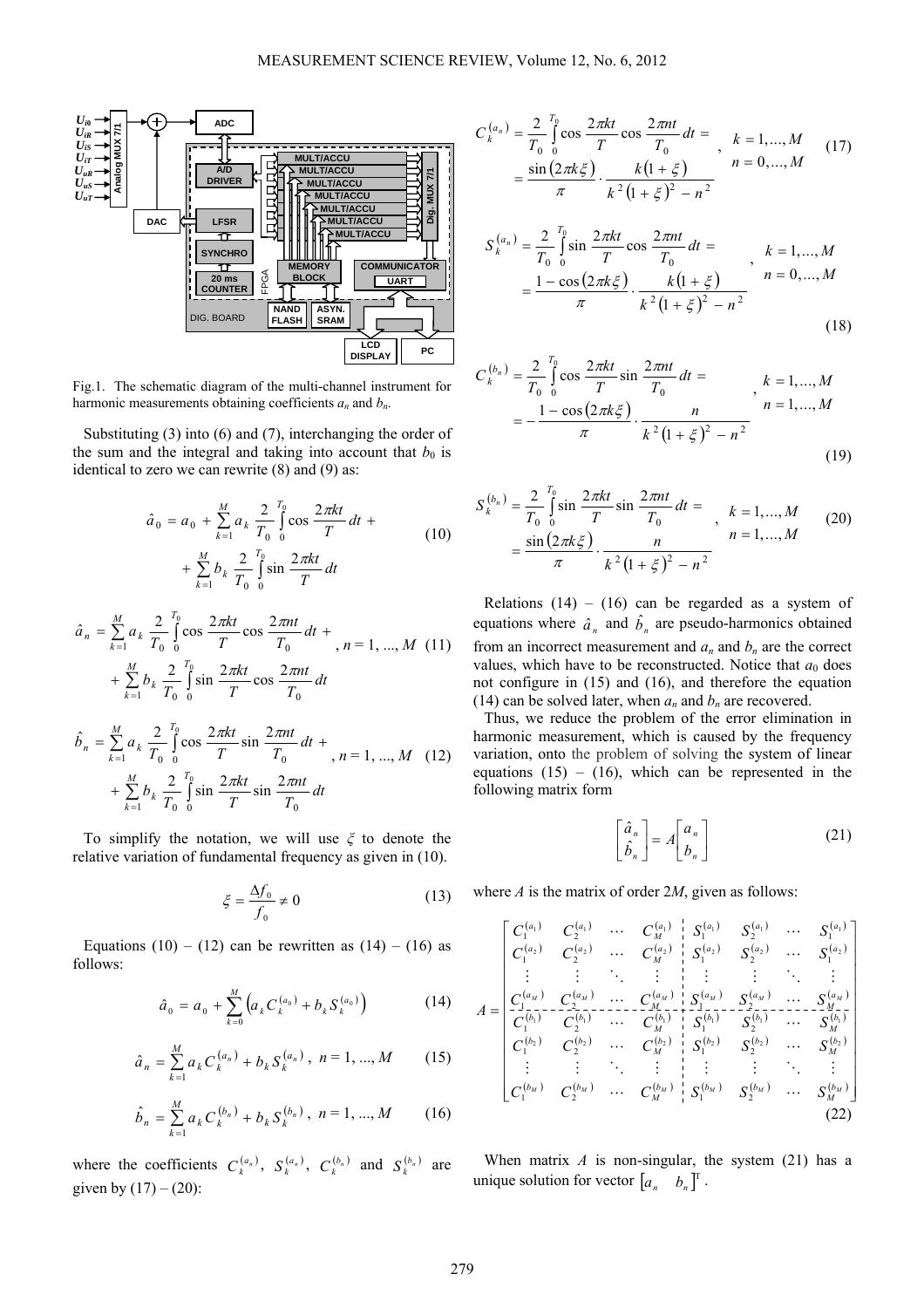

Fig.1. The schematic diagram of the multi-channel instrument for harmonic measurements obtaining coefficients  $a_n$  and  $b_n$ .

Substituting (3) into (6) and (7), interchanging the order of the sum and the integral and taking into account that  $b_0$  is identical to zero we can rewrite (8) and (9) as:

$$
\hat{a}_0 = a_0 + \sum_{k=1}^{M} a_k \frac{2}{T_0} \int_0^{T_0} \cos \frac{2\pi kt}{T} dt +
$$
  
+ 
$$
\sum_{k=1}^{M} b_k \frac{2}{T_0} \int_0^{T_0} \sin \frac{2\pi kt}{T} dt
$$
 (10)

$$
\hat{a}_n = \sum_{k=1}^M a_k \frac{2}{T_0} \int_0^{T_0} \cos \frac{2\pi kt}{T} \cos \frac{2\pi nt}{T_0} dt + \sum_{k=1}^M b_k \frac{2}{T_0} \int_0^{T_0} \sin \frac{2\pi kt}{T} \cos \frac{2\pi nt}{T_0} dt
$$
\n(11)

$$
\hat{b}_n = \sum_{k=1}^M a_k \frac{2}{T_0} \int_0^{T_0} \cos \frac{2\pi kt}{T} \sin \frac{2\pi nt}{T_0} dt + \sum_{k=1}^M b_k \frac{2}{T_0} \int_0^{T_0} \sin \frac{2\pi kt}{T} \sin \frac{2\pi nt}{T_0} dt
$$
\n(12)

To simplify the notation, we will use *ξ* to denote the relative variation of fundamental frequency as given in (10).

$$
\xi = \frac{\Delta f_0}{f_0} \neq 0 \tag{13}
$$

Equations  $(10) - (12)$  can be rewritten as  $(14) - (16)$  as follows:

$$
\hat{a}_0 = a_0 + \sum_{k=0}^{M} \left( a_k C_k^{(a_0)} + b_k S_k^{(a_0)} \right) \tag{14}
$$

$$
\hat{a}_n = \sum_{k=1}^{M} a_k C_k^{(a_n)} + b_k S_k^{(a_n)}, \ n = 1, ..., M \qquad (15)
$$

$$
\hat{b}_n = \sum_{k=1}^{M} a_k C_k^{(b_n)} + b_k S_k^{(b_n)}, \ n = 1, ..., M \qquad (16)
$$

where the coefficients  $C_k^{(a_n)}$ ,  $S_k^{(a_n)}$ ,  $C_k^{(b_n)}$  and  $S_k^{(b_n)}$  are given by  $(17) - (20)$ :

$$
C_k^{(a_n)} = \frac{2}{T_0} \int_0^{T_0} \cos \frac{2\pi kt}{T} \cos \frac{2\pi nt}{T_0} dt = \kappa = 1, ..., M
$$
  
= 
$$
\frac{\sin (2\pi k \xi)}{\pi} \cdot \frac{k(1+\xi)}{k^2(1+\xi)^2 - n^2}
$$
  $n = 0, ..., M$  (17)

$$
S_k^{(a_n)} = \frac{2}{T_0} \int_0^{T_0} \sin \frac{2\pi kt}{T} \cos \frac{2\pi nt}{T_0} dt = \qquad k = 1, ..., M
$$
  
= 
$$
\frac{1 - \cos(2\pi k \xi)}{\pi} \cdot \frac{k(1 + \xi)}{k^2 (1 + \xi)^2 - n^2}
$$
 (18)

$$
C_k^{(b_n)} = \frac{2}{T_0} \int_0^{T_0} \cos \frac{2\pi kt}{T} \sin \frac{2\pi nt}{T_0} dt = \sum_{\substack{n = 1, ..., M \\ n = 1, ..., M}} k = 1, ..., M
$$
  
= 
$$
-\frac{1 - \cos(2\pi k \xi)}{\pi} \cdot \frac{n}{k^2 (1 + \xi)^2 - n^2}
$$
 (19)

$$
S_k^{(b_n)} = \frac{2}{T_0} \int_0^{T_0} \sin \frac{2\pi kt}{T} \sin \frac{2\pi nt}{T_0} dt = \sum_{n=1,...,M} k = 1,...,M
$$
 (20)  
= 
$$
\frac{\sin (2\pi k \xi)}{\pi} \cdot \frac{n}{k^2 (1+\xi)^2 - n^2}
$$

Relations  $(14) - (16)$  can be regarded as a system of equations where  $\hat{a}_n$  and  $\hat{b}_n$  are pseudo-harmonics obtained from an incorrect measurement and  $a_n$  and  $b_n$  are the correct values, which have to be reconstructed. Notice that  $a_0$  does not configure in (15) and (16), and therefore the equation (14) can be solved later, when  $a_n$  and  $b_n$  are recovered.

Thus, we reduce the problem of the error elimination in harmonic measurement, which is caused by the frequency variation, onto the problem of solving the system of linear equations  $(15) - (16)$ , which can be represented in the following matrix form

$$
\begin{bmatrix} \hat{a}_n \\ \hat{b}_n \end{bmatrix} = A \begin{bmatrix} a_n \\ b_n \end{bmatrix}
$$
 (21)

where *A* is the matrix of order 2*M*, given as follows:

$$
A = \begin{bmatrix} C_1^{(a_1)} & C_2^{(a_1)} & \cdots & C_M^{(a_1)} & S_1^{(a_1)} & S_2^{(a_1)} & \cdots & S_1^{(a_1)} \\ C_1^{(a_2)} & C_2^{(a_2)} & \cdots & C_M^{(a_2)} & S_1^{(a_2)} & S_2^{(a_2)} & \cdots & S_1^{(a_2)} \\ \vdots & \vdots & \ddots & \vdots & \vdots & \vdots & \ddots & \vdots \\ C_1^{(a_M)} & C_2^{(a_M)} & \cdots & C_M^{(a_M)} & S_1^{(a_M)} & S_2^{(a_M)} & \cdots & S_M^{(a_M)} \\ C_1^{(b_1)} & C_2^{(b_1)} & \cdots & C_M^{(b_1)} & S_1^{(b_1)} & S_2^{(b_1)} & \cdots & S_M^{(b_1)} \\ C_1^{(b_2)} & C_2^{(b_2)} & \cdots & C_M^{(b_2)} & S_1^{(b_2)} & S_2^{(b_2)} & \cdots & S_M^{(b_2)} \\ \vdots & \vdots & \ddots & \vdots & \vdots & \vdots & \ddots & \vdots \\ C_1^{(b_M)} & C_2^{(b_M)} & \cdots & C_M^{(b_M)} & S_1^{(b_M)} & S_2^{(b_M)} & \cdots & S_M^{(b_M)} \end{bmatrix}
$$
(22)

When matrix  $A$  is non-singular, the system  $(21)$  has a unique solution for vector  $\begin{bmatrix} a_n & b_n \end{bmatrix}^T$ .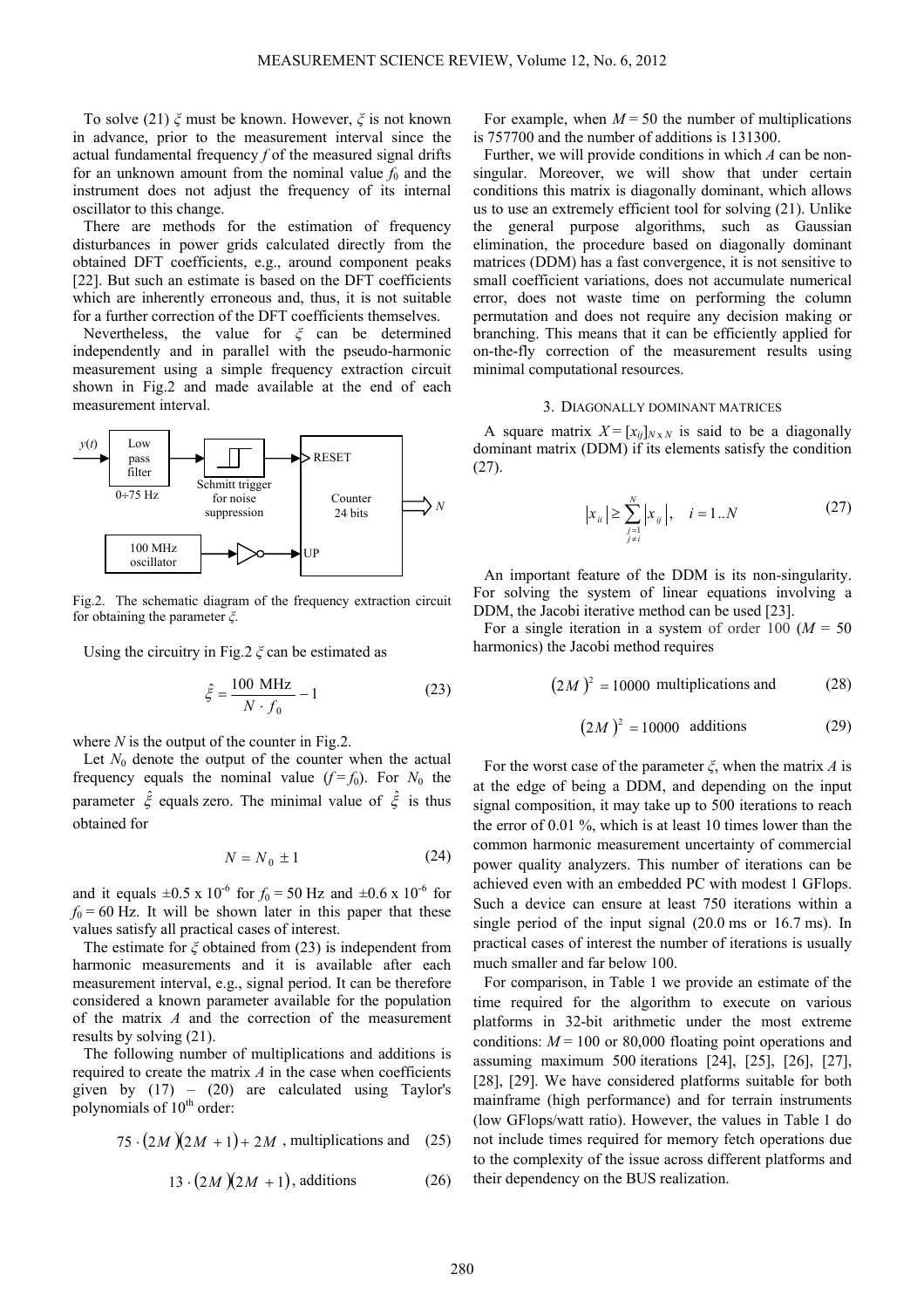To solve (21) *ξ* must be known. However, *ξ* is not known in advance, prior to the measurement interval since the actual fundamental frequency *f* of the measured signal drifts for an unknown amount from the nominal value  $f_0$  and the instrument does not adjust the frequency of its internal oscillator to this change.

There are methods for the estimation of frequency disturbances in power grids calculated directly from the obtained DFT coefficients, e.g., around component peaks [22]. But such an estimate is based on the DFT coefficients which are inherently erroneous and, thus, it is not suitable for a further correction of the DFT coefficients themselves.

Nevertheless, the value for *ξ* can be determined independently and in parallel with the pseudo-harmonic measurement using a simple frequency extraction circuit shown in Fig.2 and made available at the end of each measurement interval.



Fig.2. The schematic diagram of the frequency extraction circuit for obtaining the parameter *ξ*.

Using the circuitry in Fig.2 *ξ* can be estimated as

$$
\hat{\xi} = \frac{100 \text{ MHz}}{N \cdot f_0} - 1
$$
 (23)

where *N* is the output of the counter in Fig.2.

Let  $N_0$  denote the output of the counter when the actual frequency equals the nominal value  $(f = f_0)$ . For  $N_0$  the parameter  $\hat{\xi}$  equals zero. The minimal value of  $\hat{\xi}$  is thus obtained for

$$
N = N_0 \pm 1 \tag{24}
$$

and it equals  $\pm 0.5 \times 10^{-6}$  for  $f_0 = 50$  Hz and  $\pm 0.6 \times 10^{-6}$  for  $f_0 = 60$  Hz. It will be shown later in this paper that these values satisfy all practical cases of interest.

The estimate for *ξ* obtained from (23) is independent from harmonic measurements and it is available after each measurement interval, e.g., signal period. It can be therefore considered a known parameter available for the population of the matrix *A* and the correction of the measurement results by solving (21).

The following number of multiplications and additions is required to create the matrix *A* in the case when coefficients given by  $(17)$  –  $(20)$  are calculated using Taylor's polynomials of 10<sup>th</sup> order:

$$
75 \cdot (2M)(2M + 1) + 2M
$$
, multiplications and (25)

$$
13 \cdot (2M)(2M + 1)
$$
, additions (26)

For example, when  $M = 50$  the number of multiplications is 757700 and the number of additions is 131300.

Further, we will provide conditions in which *A* can be nonsingular. Moreover, we will show that under certain conditions this matrix is diagonally dominant, which allows us to use an extremely efficient tool for solving (21). Unlike the general purpose algorithms, such as Gaussian elimination, the procedure based on diagonally dominant matrices (DDM) has a fast convergence, it is not sensitive to small coefficient variations, does not accumulate numerical error, does not waste time on performing the column permutation and does not require any decision making or branching. This means that it can be efficiently applied for on-the-fly correction of the measurement results using minimal computational resources.

#### 3. DIAGONALLY DOMINANT MATRICES

A square matrix  $X = [x_{ij}]_{N \times N}$  is said to be a diagonally dominant matrix (DDM) if its elements satisfy the condition (27).

$$
|x_{ii}| \ge \sum_{\substack{j=1 \\ j \ne i}}^N |x_{ij}|, \quad i = 1..N \tag{27}
$$

An important feature of the DDM is its non-singularity. For solving the system of linear equations involving a DDM, the Jacobi iterative method can be used [23].

For a single iteration in a system of order  $100 (M = 50)$ harmonics) the Jacobi method requires

$$
(2M)^2 = 10000
$$
 multiplications and (28)

$$
(2M)^2 = 10000
$$
 additions (29)

For the worst case of the parameter *ξ*, when the matrix *A* is at the edge of being a DDM, and depending on the input signal composition, it may take up to 500 iterations to reach the error of 0.01 %, which is at least 10 times lower than the common harmonic measurement uncertainty of commercial power quality analyzers. This number of iterations can be achieved even with an embedded PC with modest 1 GFlops. Such a device can ensure at least 750 iterations within a single period of the input signal (20.0 ms or 16.7 ms). In practical cases of interest the number of iterations is usually much smaller and far below 100.

For comparison, in Table 1 we provide an estimate of the time required for the algorithm to execute on various platforms in 32-bit arithmetic under the most extreme conditions:  $M = 100$  or 80,000 floating point operations and assuming maximum 500 iterations [24], [25], [26], [27], [28], [29]. We have considered platforms suitable for both mainframe (high performance) and for terrain instruments (low GFlops/watt ratio). However, the values in Table 1 do not include times required for memory fetch operations due to the complexity of the issue across different platforms and their dependency on the BUS realization.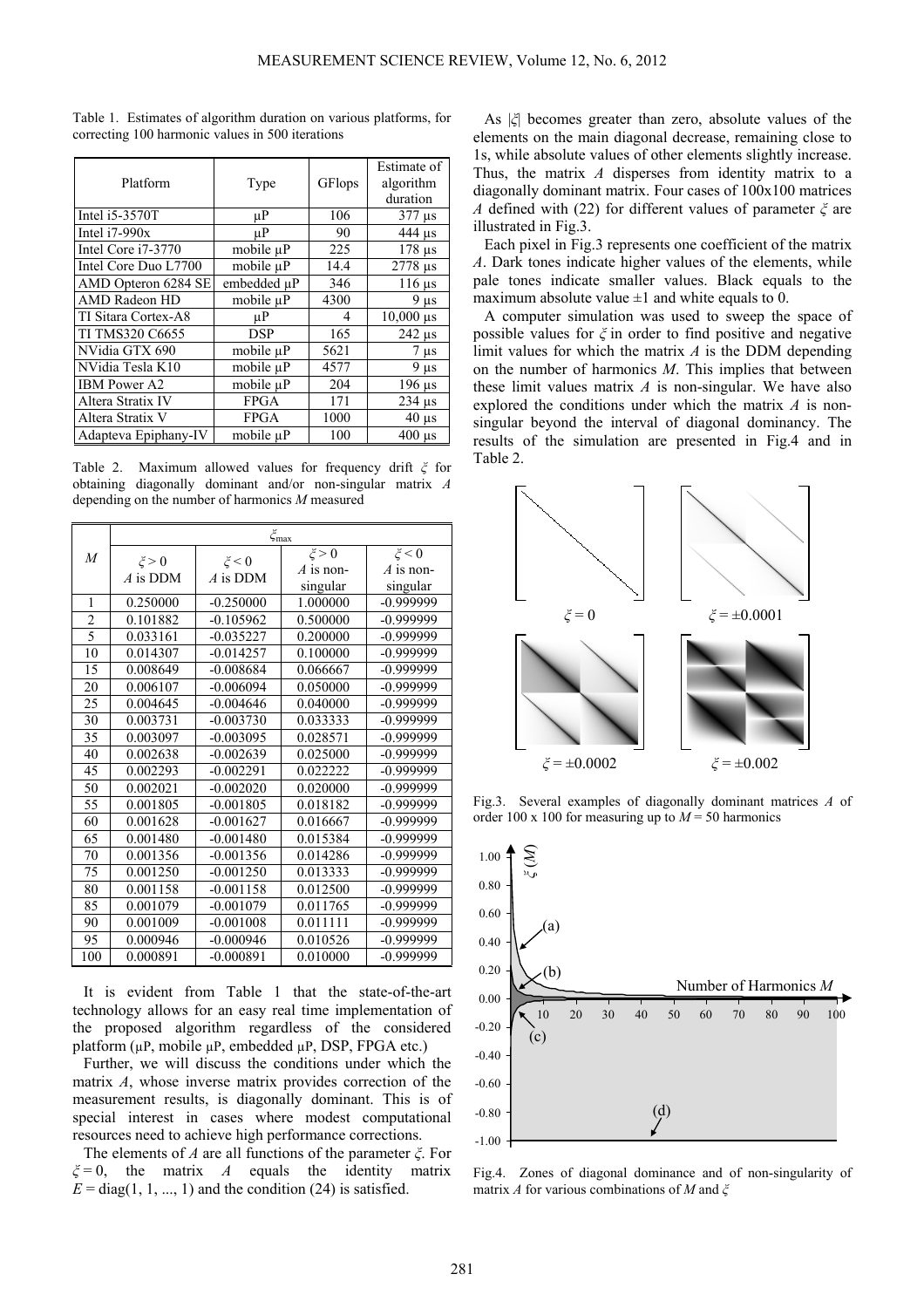| Platform             | Type        | GFlops | Estimate of<br>algorithm     |
|----------------------|-------------|--------|------------------------------|
|                      |             |        | duration                     |
| Intel $i5-3570T$     | μP          | 106    | $377 \text{ }\mu\text{s}$    |
| Intel $i7-990x$      | иP          | 90     | 444 us                       |
| Intel Core i7-3770   | mobile µP   | 225    | $178 \mu s$                  |
| Intel Core Duo L7700 | mobile µP   | 14.4   | 2778 µs                      |
| AMD Opteron 6284 SE  | embedded uP | 346    | $116$ us                     |
| <b>AMD Radeon HD</b> | mobile µP   | 4300   | $9 \mu s$                    |
| TI Sitara Cortex-A8  | μP          | 4      | $10,000 \text{ }\mu\text{s}$ |
| TI TMS320 C6655      | <b>DSP</b>  | 165    | $242$ us                     |
| NVidia GTX 690       | mobile uP   | 5621   | $7 \mu s$                    |
| NVidia Tesla K10     | mobile uP   | 4577   | $9 \mu s$                    |
| <b>IBM Power A2</b>  | mobile µP   | 204    | $196 \text{ }\mu\text{s}$    |
| Altera Stratix IV    | <b>FPGA</b> | 171    | $234 \mu s$                  |
| Altera Stratix V     | <b>FPGA</b> | 1000   | $40 \text{ }\mu\text{s}$     |
| Adapteva Epiphany-IV | mobile µP   | 100    | $400 \mu s$                  |

Table 1. Estimates of algorithm duration on various platforms, for correcting 100 harmonic values in 500 iterations

Table 2. Maximum allowed values for frequency drift *ξ* for obtaining diagonally dominant and/or non-singular matrix *A* depending on the number of harmonics *M* measured

|                | $\xi_{\rm max}$ |             |                   |                   |  |
|----------------|-----------------|-------------|-------------------|-------------------|--|
| $\overline{M}$ | $\xi > 0$       | $\xi$ < 0   | $\zeta > 0$       | $\xi < 0$         |  |
|                | $A$ is DDM      | $A$ is DDM  | $\Lambda$ is non- | $\Lambda$ is non- |  |
|                |                 |             | singular          | singular          |  |
| 1              | 0.250000        | $-0.250000$ | 1.000000          | -0.999999         |  |
| $\overline{c}$ | 0.101882        | $-0.105962$ | 0.500000          | $-0.9999999$      |  |
| $\overline{5}$ | 0.033161        | $-0.035227$ | 0.200000          | $-0.9999999$      |  |
| 10             | 0.014307        | $-0.014257$ | 0.100000          | $-0.9999999$      |  |
| 15             | 0.008649        | $-0.008684$ | 0.066667          | $-0.9999999$      |  |
| 20             | 0.006107        | $-0.006094$ | 0.050000          | $-0.9999999$      |  |
| 25             | 0.004645        | $-0.004646$ | 0.040000          | $-0.9999999$      |  |
| 30             | 0.003731        | $-0.003730$ | 0.033333          | $-0.9999999$      |  |
| 35             | 0.003097        | $-0.003095$ | 0.028571          | $-0.9999999$      |  |
| 40             | 0.002638        | $-0.002639$ | 0.025000          | $-0.9999999$      |  |
| 45             | 0.002293        | $-0.002291$ | 0.022222          | $-0.9999999$      |  |
| 50             | 0.002021        | $-0.002020$ | 0.020000          | $-0.999999$       |  |
| 55             | 0.001805        | $-0.001805$ | 0.018182          | -0.999999         |  |
| 60             | 0.001628        | $-0.001627$ | 0.016667          | $-0.9999999$      |  |
| 65             | 0.001480        | $-0.001480$ | 0.015384          | $-0.9999999$      |  |
| 70             | 0.001356        | $-0.001356$ | 0.014286          | $-0.9999999$      |  |
| 75             | 0.001250        | $-0.001250$ | 0.013333          | $-0.9999999$      |  |
| 80             | 0.001158        | $-0.001158$ | 0.012500          | $-0.9999999$      |  |
| 85             | 0.001079        | $-0.001079$ | 0.011765          | $-0.9999999$      |  |
| 90             | 0.001009        | $-0.001008$ | 0.011111          | $-0.9999999$      |  |
| 95             | 0.000946        | $-0.000946$ | 0.010526          | $-0.9999999$      |  |
| 100            | 0.000891        | $-0.000891$ | 0.010000          | $-0.999999$       |  |

It is evident from Table 1 that the state-of-the-art technology allows for an easy real time implementation of the proposed algorithm regardless of the considered platform  $(\mu P, \text{mobile } \mu P, \text{embedded } \mu P, \text{DSP}, \text{FPGA etc.})$ 

Further, we will discuss the conditions under which the matrix *A*, whose inverse matrix provides correction of the measurement results, is diagonally dominant. This is of special interest in cases where modest computational resources need to achieve high performance corrections.

The elements of *A* are all functions of the parameter *ξ*. For *ξ* = 0, the matrix *A* equals the identity matrix  $E = diag(1, 1, ..., 1)$  and the condition (24) is satisfied.

As |*ξ*| becomes greater than zero, absolute values of the elements on the main diagonal decrease, remaining close to 1s, while absolute values of other elements slightly increase. Thus, the matrix *A* disperses from identity matrix to a diagonally dominant matrix. Four cases of 100x100 matrices *A* defined with (22) for different values of parameter *ξ* are illustrated in Fig.3.

Each pixel in Fig.3 represents one coefficient of the matrix *A*. Dark tones indicate higher values of the elements, while pale tones indicate smaller values. Black equals to the maximum absolute value  $\pm 1$  and white equals to 0.

A computer simulation was used to sweep the space of possible values for *ξ* in order to find positive and negative limit values for which the matrix *A* is the DDM depending on the number of harmonics *M*. This implies that between these limit values matrix *A* is non-singular. We have also explored the conditions under which the matrix *A* is nonsingular beyond the interval of diagonal dominancy. The results of the simulation are presented in Fig.4 and in Table 2.



Fig.3. Several examples of diagonally dominant matrices *A* of order 100 x 100 for measuring up to  $M = 50$  harmonics



Fig.4. Zones of diagonal dominance and of non-singularity of matrix *A* for various combinations of *M* and *ξ*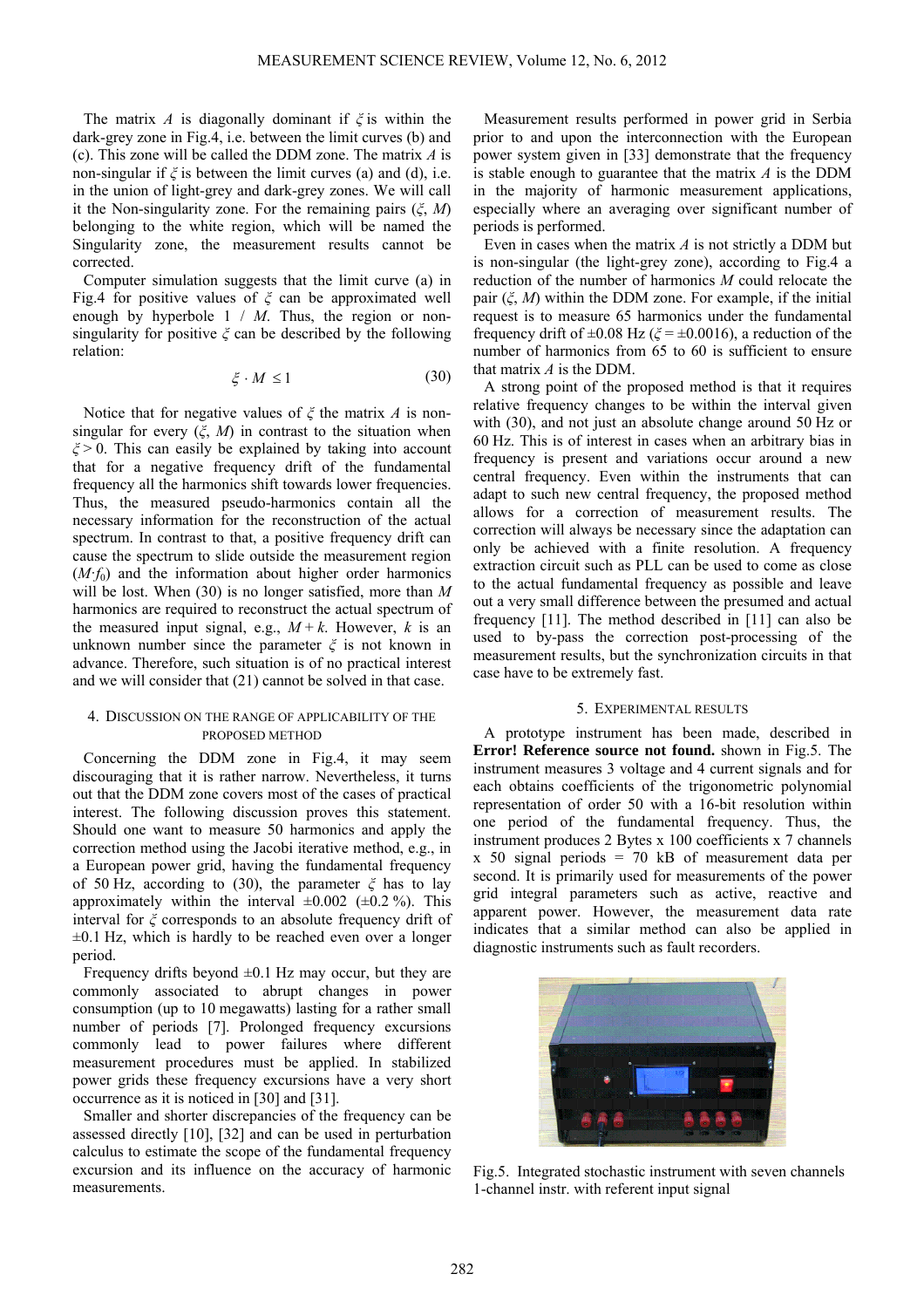The matrix *A* is diagonally dominant if *ξ* is within the dark-grey zone in Fig.4, i.e. between the limit curves (b) and (c). This zone will be called the DDM zone. The matrix *A* is non-singular if *ξ* is between the limit curves (a) and (d), i.e. in the union of light-grey and dark-grey zones. We will call it the Non-singularity zone. For the remaining pairs (*ξ*, *M*) belonging to the white region, which will be named the Singularity zone, the measurement results cannot be corrected.

Computer simulation suggests that the limit curve (a) in Fig.4 for positive values of *ξ* can be approximated well enough by hyperbole 1 / *M*. Thus, the region or nonsingularity for positive *ξ* can be described by the following relation:

$$
\xi \cdot M \le 1\tag{30}
$$

Notice that for negative values of *ξ* the matrix *A* is nonsingular for every  $(\xi, M)$  in contrast to the situation when *ξ* > 0. This can easily be explained by taking into account that for a negative frequency drift of the fundamental frequency all the harmonics shift towards lower frequencies. Thus, the measured pseudo-harmonics contain all the necessary information for the reconstruction of the actual spectrum. In contrast to that, a positive frequency drift can cause the spectrum to slide outside the measurement region  $(M<sub>f</sub><sub>0</sub>)$  and the information about higher order harmonics will be lost. When (30) is no longer satisfied, more than *M* harmonics are required to reconstruct the actual spectrum of the measured input signal, e.g.,  $M + k$ . However, *k* is an unknown number since the parameter  $\zeta$  is not known in advance. Therefore, such situation is of no practical interest and we will consider that (21) cannot be solved in that case.

#### 4. DISCUSSION ON THE RANGE OF APPLICABILITY OF THE PROPOSED METHOD

Concerning the DDM zone in Fig.4, it may seem discouraging that it is rather narrow. Nevertheless, it turns out that the DDM zone covers most of the cases of practical interest. The following discussion proves this statement. Should one want to measure 50 harmonics and apply the correction method using the Jacobi iterative method, e.g., in a European power grid, having the fundamental frequency of 50 Hz, according to (30), the parameter *ξ* has to lay approximately within the interval  $\pm 0.002$  ( $\pm 0.2$ %). This interval for *ξ* corresponds to an absolute frequency drift of  $\pm 0.1$  Hz, which is hardly to be reached even over a longer period.

Frequency drifts beyond  $\pm 0.1$  Hz may occur, but they are commonly associated to abrupt changes in power consumption (up to 10 megawatts) lasting for a rather small number of periods [7]. Prolonged frequency excursions commonly lead to power failures where different measurement procedures must be applied. In stabilized power grids these frequency excursions have a very short occurrence as it is noticed in [30] and [31].

Smaller and shorter discrepancies of the frequency can be assessed directly [10], [32] and can be used in perturbation calculus to estimate the scope of the fundamental frequency excursion and its influence on the accuracy of harmonic measurements.

Measurement results performed in power grid in Serbia prior to and upon the interconnection with the European power system given in [33] demonstrate that the frequency is stable enough to guarantee that the matrix *A* is the DDM in the majority of harmonic measurement applications, especially where an averaging over significant number of periods is performed.

Even in cases when the matrix *A* is not strictly a DDM but is non-singular (the light-grey zone), according to Fig.4 a reduction of the number of harmonics *M* could relocate the pair (*ξ*, *M*) within the DDM zone. For example, if the initial request is to measure 65 harmonics under the fundamental frequency drift of  $\pm 0.08$  Hz ( $\zeta = \pm 0.0016$ ), a reduction of the number of harmonics from 65 to 60 is sufficient to ensure that matrix *A* is the DDM.

A strong point of the proposed method is that it requires relative frequency changes to be within the interval given with (30), and not just an absolute change around 50 Hz or 60 Hz. This is of interest in cases when an arbitrary bias in frequency is present and variations occur around a new central frequency. Even within the instruments that can adapt to such new central frequency, the proposed method allows for a correction of measurement results. The correction will always be necessary since the adaptation can only be achieved with a finite resolution. A frequency extraction circuit such as PLL can be used to come as close to the actual fundamental frequency as possible and leave out a very small difference between the presumed and actual frequency [11]. The method described in [11] can also be used to by-pass the correction post-processing of the measurement results, but the synchronization circuits in that case have to be extremely fast.

#### 5. EXPERIMENTAL RESULTS

A prototype instrument has been made, described in **Error! Reference source not found.** shown in Fig.5. The instrument measures 3 voltage and 4 current signals and for each obtains coefficients of the trigonometric polynomial representation of order 50 with a 16-bit resolution within one period of the fundamental frequency. Thus, the instrument produces 2 Bytes x 100 coefficients x 7 channels x 50 signal periods = 70 kB of measurement data per second. It is primarily used for measurements of the power grid integral parameters such as active, reactive and apparent power. However, the measurement data rate indicates that a similar method can also be applied in diagnostic instruments such as fault recorders.



Fig.5. Integrated stochastic instrument with seven channels 1-channel instr. with referent input signal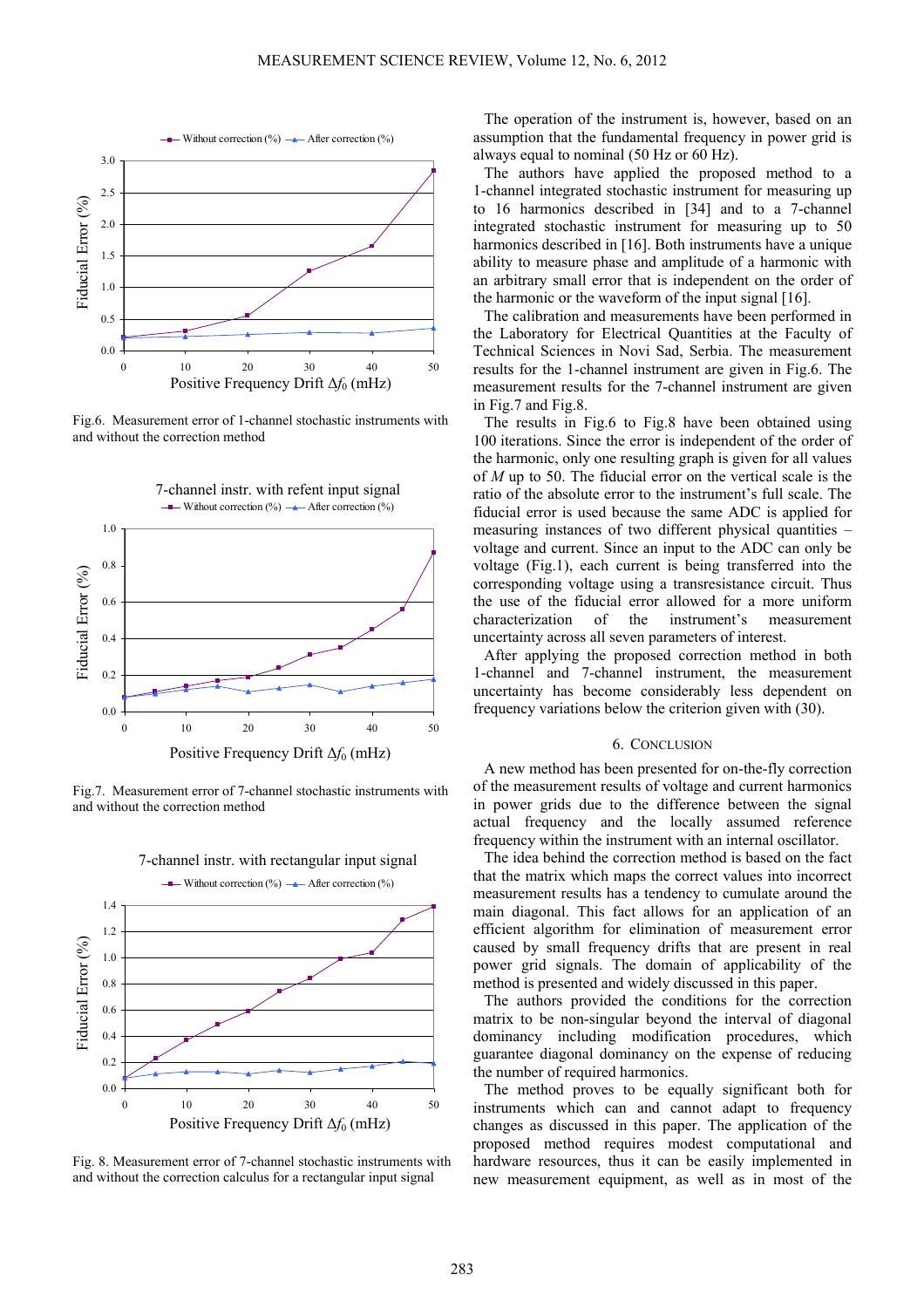

Fig.6. Measurement error of 1-channel stochastic instruments with and without the correction method



Fig.7. Measurement error of 7-channel stochastic instruments with and without the correction method



7-channel instr. with rectangular input signal

Fig. 8. Measurement error of 7-channel stochastic instruments with and without the correction calculus for a rectangular input signal

The operation of the instrument is, however, based on an assumption that the fundamental frequency in power grid is always equal to nominal (50 Hz or 60 Hz).

The authors have applied the proposed method to a 1-channel integrated stochastic instrument for measuring up to 16 harmonics described in [34] and to a 7-channel integrated stochastic instrument for measuring up to 50 harmonics described in [16]. Both instruments have a unique ability to measure phase and amplitude of a harmonic with an arbitrary small error that is independent on the order of the harmonic or the waveform of the input signal [16].

The calibration and measurements have been performed in the Laboratory for Electrical Quantities at the Faculty of Technical Sciences in Novi Sad, Serbia. The measurement results for the 1-channel instrument are given in Fig.6. The measurement results for the 7-channel instrument are given in Fig.7 and Fig.8.

The results in Fig.6 to Fig.8 have been obtained using 100 iterations. Since the error is independent of the order of the harmonic, only one resulting graph is given for all values of *M* up to 50. The fiducial error on the vertical scale is the ratio of the absolute error to the instrument's full scale. The fiducial error is used because the same ADC is applied for measuring instances of two different physical quantities – voltage and current. Since an input to the ADC can only be voltage (Fig.1), each current is being transferred into the corresponding voltage using a transresistance circuit. Thus the use of the fiducial error allowed for a more uniform characterization of the instrument's measurement uncertainty across all seven parameters of interest.

After applying the proposed correction method in both 1-channel and 7-channel instrument, the measurement uncertainty has become considerably less dependent on frequency variations below the criterion given with (30).

#### 6. CONCLUSION

A new method has been presented for on-the-fly correction of the measurement results of voltage and current harmonics in power grids due to the difference between the signal actual frequency and the locally assumed reference frequency within the instrument with an internal oscillator.

The idea behind the correction method is based on the fact that the matrix which maps the correct values into incorrect measurement results has a tendency to cumulate around the main diagonal. This fact allows for an application of an efficient algorithm for elimination of measurement error caused by small frequency drifts that are present in real power grid signals. The domain of applicability of the method is presented and widely discussed in this paper.

The authors provided the conditions for the correction matrix to be non-singular beyond the interval of diagonal dominancy including modification procedures, which guarantee diagonal dominancy on the expense of reducing the number of required harmonics.

The method proves to be equally significant both for instruments which can and cannot adapt to frequency changes as discussed in this paper. The application of the proposed method requires modest computational and hardware resources, thus it can be easily implemented in new measurement equipment, as well as in most of the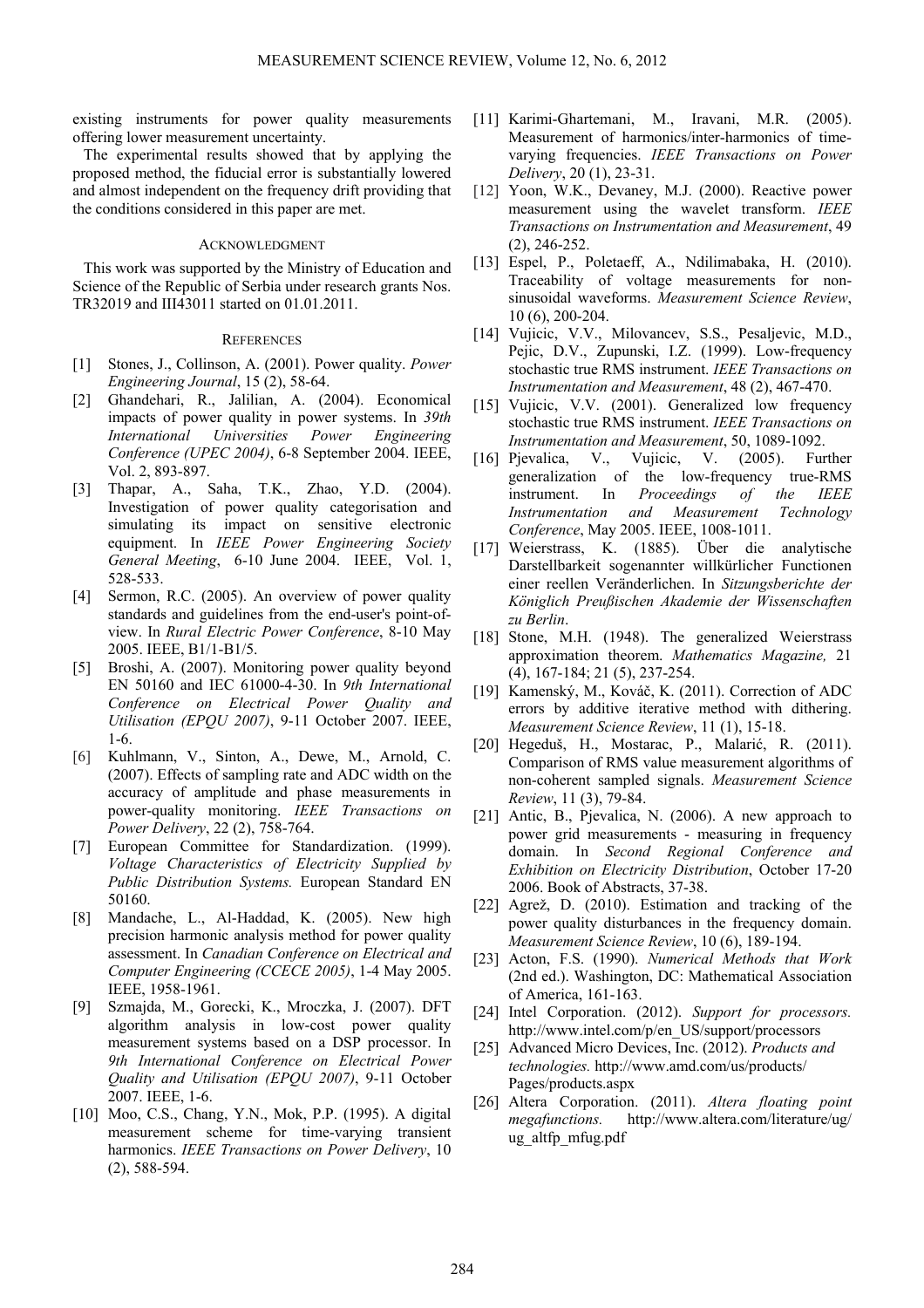existing instruments for power quality measurements offering lower measurement uncertainty.

The experimental results showed that by applying the proposed method, the fiducial error is substantially lowered and almost independent on the frequency drift providing that the conditions considered in this paper are met.

## ACKNOWLEDGMENT

This work was supported by the Ministry of Education and Science of the Republic of Serbia under research grants Nos. TR32019 and III43011 started on 01.01.2011.

#### **REFERENCES**

- [1] Stones, J., Collinson, A. (2001). Power quality. *Power Engineering Journal*, 15 (2), 58-64.
- [2] Ghandehari, R., Jalilian, A. (2004). Economical impacts of power quality in power systems. In *39th International Universities Power Engineering Conference (UPEC 2004)*, 6-8 September 2004. IEEE, Vol. 2, 893-897.
- [3] Thapar, A., Saha, T.K., Zhao, Y.D. (2004). Investigation of power quality categorisation and simulating its impact on sensitive electronic equipment. In *IEEE Power Engineering Society General Meeting*, 6-10 June 2004. IEEE, Vol. 1, 528-533.
- [4] Sermon, R.C. (2005). An overview of power quality standards and guidelines from the end-user's point-ofview. In *Rural Electric Power Conference*, 8-10 May 2005. IEEE, B1/1-B1/5.
- [5] Broshi, A. (2007). Monitoring power quality beyond EN 50160 and IEC 61000-4-30. In *9th International Conference on Electrical Power Quality and Utilisation (EPQU 2007)*, 9-11 October 2007. IEEE, 1-6.
- [6] Kuhlmann, V., Sinton, A., Dewe, M., Arnold, C. (2007). Effects of sampling rate and ADC width on the accuracy of amplitude and phase measurements in power-quality monitoring. *IEEE Transactions on Power Delivery*, 22 (2), 758-764.
- [7] European Committee for Standardization. (1999). *Voltage Characteristics of Electricity Supplied by Public Distribution Systems.* European Standard EN 50160.
- [8] Mandache, L., Al-Haddad, K. (2005). New high precision harmonic analysis method for power quality assessment. In *Canadian Conference on Electrical and Computer Engineering (CCECE 2005)*, 1-4 May 2005. IEEE, 1958-1961.
- [9] Szmajda, M., Gorecki, K., Mroczka, J. (2007). DFT algorithm analysis in low-cost power quality measurement systems based on a DSP processor. In *9th International Conference on Electrical Power Quality and Utilisation (EPQU 2007)*, 9-11 October 2007. IEEE, 1-6.
- [10] Moo, C.S., Chang, Y.N., Mok, P.P. (1995). A digital measurement scheme for time-varying transient harmonics. *IEEE Transactions on Power Delivery*, 10 (2), 588-594.
- [11] Karimi-Ghartemani, M., Iravani, M.R. (2005). Measurement of harmonics/inter-harmonics of timevarying frequencies. *IEEE Transactions on Power Delivery*, 20 (1), 23-31.
- [12] Yoon, W.K., Devaney, M.J. (2000). Reactive power measurement using the wavelet transform. *IEEE Transactions on Instrumentation and Measurement*, 49 (2), 246-252.
- [13] Espel, P., Poletaeff, A., Ndilimabaka, H. (2010). Traceability of voltage measurements for nonsinusoidal waveforms. *Measurement Science Review*, 10 (6), 200-204.
- [14] Vujicic, V.V., Milovancev, S.S., Pesaljevic, M.D., Pejic, D.V., Zupunski, I.Z. (1999). Low-frequency stochastic true RMS instrument. *IEEE Transactions on Instrumentation and Measurement*, 48 (2), 467-470.
- [15] Vujicic, V.V. (2001). Generalized low frequency stochastic true RMS instrument. *IEEE Transactions on Instrumentation and Measurement*, 50, 1089-1092.
- [16] Pjevalica, V., Vujicic, V. (2005). Further generalization of the low-frequency true-RMS instrument. In *Proceedings of the IEEE Instrumentation and Measurement Technology Conference*, May 2005. IEEE, 1008-1011.
- [17] Weierstrass, K. (1885). Über die analytische Darstellbarkeit sogenannter willkürlicher Functionen einer reellen Veränderlichen. In *Sitzungsberichte der Königlich Preußischen Akademie der Wissenschaften zu Berlin*.
- [18] Stone, M.H. (1948). The generalized Weierstrass approximation theorem. *Mathematics Magazine,* 21 (4), 167-184; 21 (5), 237-254.
- [19] Kamenský, M., Kováč, K. (2011). Correction of ADC errors by additive iterative method with dithering. *Measurement Science Review*, 11 (1), 15-18.
- [20] Hegeduš, H., Mostarac, P., Malarić, R. (2011). Comparison of RMS value measurement algorithms of non-coherent sampled signals. *Measurement Science Review*, 11 (3), 79-84.
- [21] Antic, B., Pjevalica, N. (2006). A new approach to power grid measurements - measuring in frequency domain. In *Second Regional Conference and Exhibition on Electricity Distribution*, October 17-20 2006. Book of Abstracts, 37-38.
- [22] Agrež, D. (2010). Estimation and tracking of the power quality disturbances in the frequency domain. *Measurement Science Review*, 10 (6), 189-194.
- [23] Acton, F.S. (1990). *Numerical Methods that Work* (2nd ed.). Washington, DC: Mathematical Association of America, 161-163.
- [24] Intel Corporation. (2012). *Support for processors.* http://www.intel.com/p/en\_US/support/processors
- [25] Advanced Micro Devices, Inc. (2012). *Products and technologies.* http://www.amd.com/us/products/ Pages/products.aspx
- [26] Altera Corporation. (2011). *Altera floating point megafunctions.* http://www.altera.com/literature/ug/ ug\_altfp\_mfug.pdf